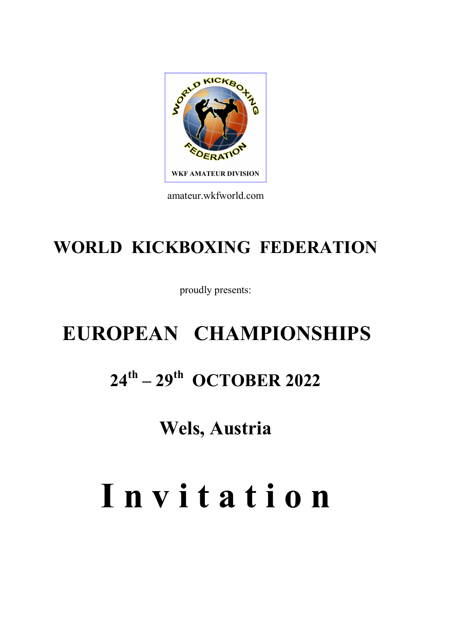# Seul Kicksot OERAT **WKF AMATEUR DIVISION**

amateur.wkfworld.com

## WORLD KICKBOXING FEDERATION

proudly presents:

# EUROPEAN CHAMPIONSHIPS  $24^{\text{th}} - 29^{\text{th}}$  OCTOBER 2022

Wels, Austria

# I n v i t a t i o n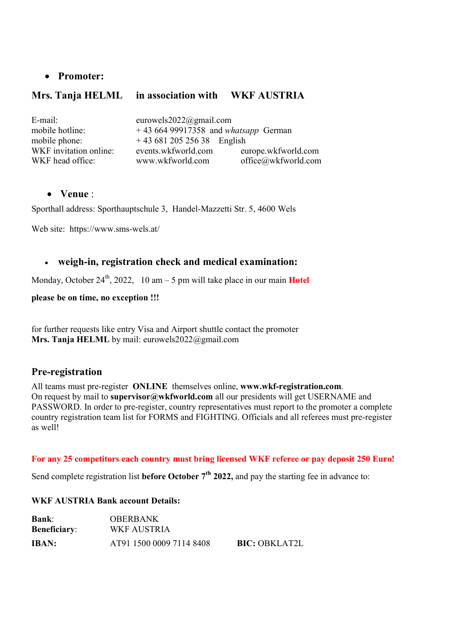#### Promoter:

#### Mrs. Tanja HELML in association with WKF AUSTRIA

| eurowels2022@gmail.com               |                     |
|--------------------------------------|---------------------|
| $+4366499917358$ and whatsapp German |                     |
| $+4368120525638$ English             |                     |
| events.wkfworld.com                  | europe.wkfworld.com |
| www.wkfworld.com                     | office@wkfworld.com |
|                                      |                     |

#### Venue :

Sporthall address: Sporthauptschule 3, Handel-Mazzetti Str. 5, 4600 Wels

Web site: https://www.sms-wels.at/

#### weigh-in, registration check and medical examination:

Monday, October 24<sup>th</sup>, 2022, 10 am – 5 pm will take place in our main **Hotel** 

please be on time, no exception !!!

for further requests like entry Visa and Airport shuttle contact the promoter Mrs. Tanja HELML by mail: eurowels2022@gmail.com

#### Pre-registration

All teams must pre-register ONLINE themselves online, www.wkf-registration.com. On request by mail to **supervisor@wkfworld.com** all our presidents will get USERNAME and PASSWORD. In order to pre-register, country representatives must report to the promoter a complete country registration team list for FORMS and FIGHTING. Officials and all referees must pre-register as well!

#### For any 25 competitors each country must bring licensed WKF referee or pay deposit 250 Euro!

Send complete registration list before October 7<sup>th</sup> 2022, and pay the starting fee in advance to:

#### WKF AUSTRIA Bank account Details:

| <b>Bank:</b><br><b>Beneficiary:</b> | OBERBANK<br>WKF AUSTRIA  |                      |
|-------------------------------------|--------------------------|----------------------|
| <b>IBAN:</b>                        | AT91 1500 0009 7114 8408 | <b>BIC: OBKLAT2L</b> |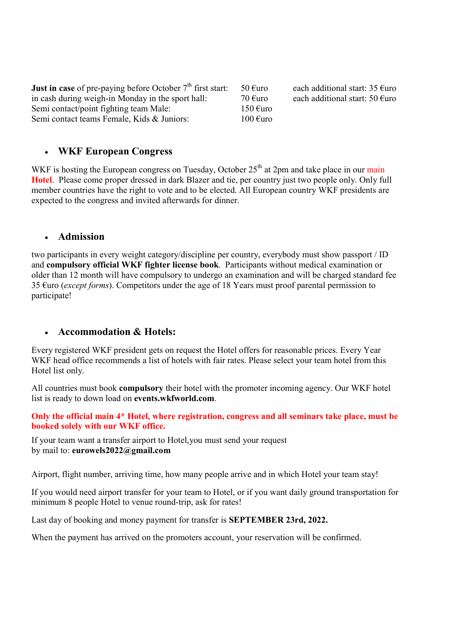| <b>Just in case</b> of pre-paying before October $7th$ first start: | 50 $\epsilon$ uro  | each additional start: $35 \text{ } \infty$ |
|---------------------------------------------------------------------|--------------------|---------------------------------------------|
| in cash during weigh-in Monday in the sport hall:                   | 70 €uro            | each additional start: $50 \text{ furo}$    |
| Semi contact/point fighting team Male:                              | 150 $\epsilon$ uro |                                             |
| Semi contact teams Female, Kids & Juniors:                          | $100 \text{ Euro}$ |                                             |

#### WKF European Congress

WKF is hosting the European congress on Tuesday, October  $25<sup>th</sup>$  at 2pm and take place in our main Hotel. Please come proper dressed in dark Blazer and tie, per country just two people only. Only full member countries have the right to vote and to be elected. All European country WKF presidents are expected to the congress and invited afterwards for dinner.

#### Admission

two participants in every weight category/discipline per country, everybody must show passport / ID and compulsory official WKF fighter license book. Participants without medical examination or older than 12 month will have compulsory to undergo an examination and will be charged standard fee 35  $\epsilon$ uro (*except forms*). Competitors under the age of 18 Years must proof parental permission to participate!

#### Accommodation & Hotels:

Every registered WKF president gets on request the Hotel offers for reasonable prices. Every Year WKF head office recommends a list of hotels with fair rates. Please select your team hotel from this Hotel list only.

All countries must book compulsory their hotel with the promoter incoming agency. Our WKF hotel list is ready to down load on events.wkfworld.com.

Only the official main 4\* Hotel, where registration, congress and all seminars take place, must be booked solely with our WKF office.

If your team want a transfer airport to Hotel,you must send your request by mail to: eurowels2022@gmail.com

Airport, flight number, arriving time, how many people arrive and in which Hotel your team stay!

If you would need airport transfer for your team to Hotel, or if you want daily ground transportation for minimum 8 people Hotel to venue round-trip, ask for rates!

Last day of booking and money payment for transfer is SEPTEMBER 23rd, 2022.

When the payment has arrived on the promoters account, your reservation will be confirmed.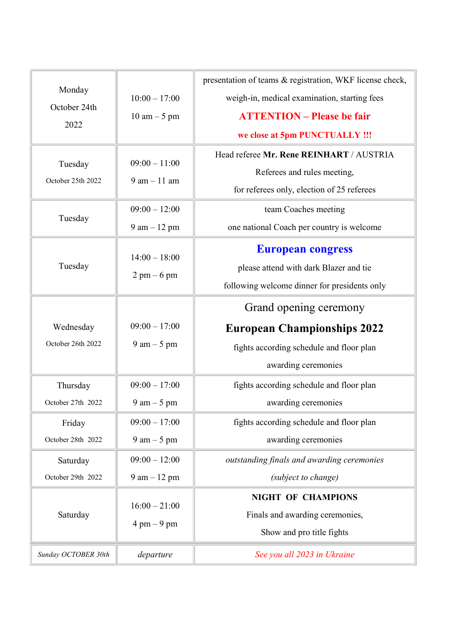|                              |                                | presentation of teams & registration, WKF license check, |
|------------------------------|--------------------------------|----------------------------------------------------------|
| Monday                       | $10:00 - 17:00$                | weigh-in, medical examination, starting fees             |
| October 24th                 | $10 \text{ am} - 5 \text{ pm}$ | <b>ATTENTION – Please be fair</b>                        |
| 2022                         |                                | we close at 5pm PUNCTUALLY !!!                           |
|                              | $09:00 - 11:00$                | Head referee Mr. Rene REINHART / AUSTRIA                 |
| Tuesday<br>October 25th 2022 | $9$ am $-11$ am                | Referees and rules meeting,                              |
|                              |                                | for referees only, election of 25 referees               |
|                              | $09:00 - 12:00$                | team Coaches meeting                                     |
| Tuesday                      | $9$ am $-12$ pm                | one national Coach per country is welcome                |
|                              |                                | <b>European congress</b>                                 |
| Tuesday                      | $14:00 - 18:00$                | please attend with dark Blazer and tie                   |
|                              | $2 \text{ pm} - 6 \text{ pm}$  | following welcome dinner for presidents only             |
|                              |                                | Grand opening ceremony                                   |
|                              |                                |                                                          |
| Wednesday                    | $09:00 - 17:00$                | <b>European Championships 2022</b>                       |
| October 26th 2022            | $9$ am $-5$ pm                 | fights according schedule and floor plan                 |
|                              |                                | awarding ceremonies                                      |
| Thursday                     | $09:00 - 17:00$                | fights according schedule and floor plan                 |
| October 27th 2022            | $9 \text{ am} - 5 \text{ pm}$  | awarding ceremonies                                      |
| Friday                       | $09:00 - 17:00$                | fights according schedule and floor plan                 |
| October 28th 2022            | $9 \text{ am} - 5 \text{ pm}$  | awarding ceremonies                                      |
| Saturday                     | $09:00 - 12:00$                | outstanding finals and awarding ceremonies               |
| October 29th 2022            | $9$ am $-12$ pm                | (subject to change)                                      |
|                              |                                | <b>NIGHT OF CHAMPIONS</b>                                |
| Saturday                     | $16:00 - 21:00$                | Finals and awarding ceremonies,                          |
|                              | $4 \text{ pm} - 9 \text{ pm}$  | Show and pro title fights                                |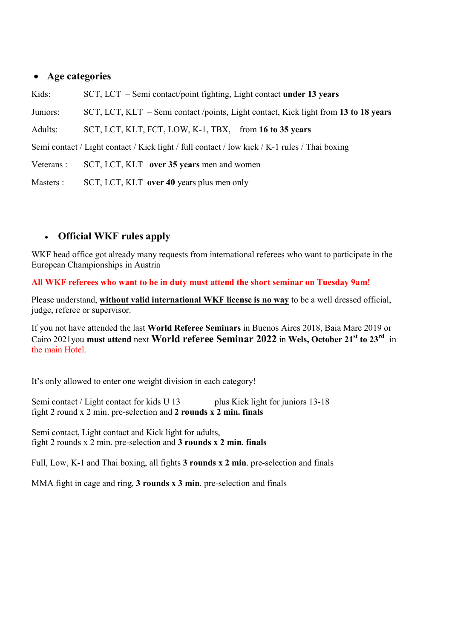#### Age categories

Kids: SCT, LCT – Semi contact/point fighting, Light contact under 13 years Juniors: SCT, LCT, KLT – Semi contact /points, Light contact, Kick light from 13 to 18 years Adults: SCT, LCT, KLT, FCT, LOW, K-1, TBX, from 16 to 35 years Semi contact / Light contact / Kick light / full contact / low kick / K-1 rules / Thai boxing Veterans : SCT, LCT, KLT over 35 years men and women Masters : SCT, LCT, KLT over 40 years plus men only

#### Official WKF rules apply

WKF head office got already many requests from international referees who want to participate in the European Championships in Austria

All WKF referees who want to be in duty must attend the short seminar on Tuesday 9am!

Please understand, without valid international WKF license is no way to be a well dressed official, judge, referee or supervisor.

If you not have attended the last World Referee Seminars in Buenos Aires 2018, Baia Mare 2019 or Cairo 2021you must attend next World referee Seminar 2022 in Wels, October 21<sup>st</sup> to 23<sup>rd</sup> in the main Hotel.

It's only allowed to enter one weight division in each category!

Semi contact / Light contact for kids U 13 plus Kick light for juniors 13-18 fight 2 round x 2 min. pre-selection and 2 rounds x 2 min. finals

Semi contact, Light contact and Kick light for adults, fight 2 rounds x 2 min. pre-selection and 3 rounds x 2 min. finals

Full, Low, K-1 and Thai boxing, all fights 3 rounds x 2 min. pre-selection and finals

MMA fight in cage and ring, 3 rounds x 3 min. pre-selection and finals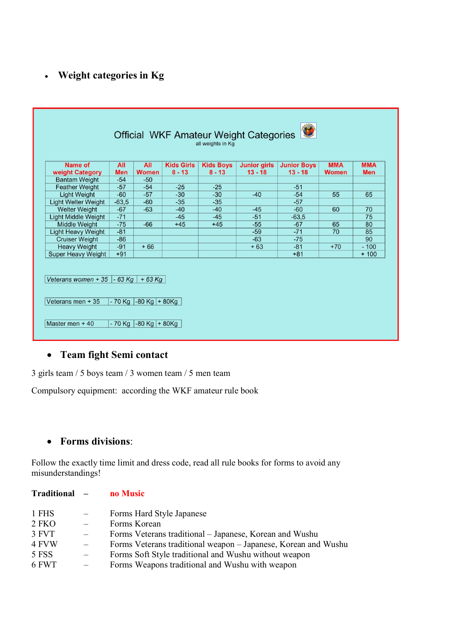### Weight categories in Kg

| Name of                                                          | All        | All                                      | <b>Kids Girls</b> | <b>Kids Boys</b> | <b>Junior girls</b> | <b>Junior Boys</b> | <b>MMA</b>   | <b>MMA</b> |
|------------------------------------------------------------------|------------|------------------------------------------|-------------------|------------------|---------------------|--------------------|--------------|------------|
| weight Category                                                  | <b>Men</b> | <b>Women</b>                             | $8 - 13$          | $8 - 13$         | $13 - 18$           | $13 - 18$          | <b>Women</b> | <b>Men</b> |
| <b>Bantam Weight</b>                                             | $-54$      | $-50$                                    |                   |                  |                     |                    |              |            |
| <b>Feather Weight</b>                                            | $-57$      | $-54$                                    | $-25$             | $-25$            |                     | $-51$              |              |            |
| <b>Light Weight</b>                                              | $-60$      | $-57$                                    | $-30$             | $-30$            | $-40$               | $-54$              | 55           | 65         |
| <b>Light Welter Weight</b>                                       | $-63,5$    | $-60$                                    | $-35$             | $-35$            |                     | $-57$              |              |            |
| <b>Welter Weight</b>                                             | $-67$      | $-63$                                    | $-40$             | $-40$            | $-45$               | $-60$              | 60           | 70         |
| <b>Light Middle Weight</b>                                       | $-71$      |                                          | $-45$             | $-45$            | $-51$               | $-63.5$            |              | 75         |
| <b>Middle Weight</b>                                             | $-75$      | $-66$                                    | $+45$             | $+45$            | $-55$               | $-67$              | 65           | 80         |
| <b>Light Heavy Weight</b>                                        | $-81$      |                                          |                   |                  | $-59$               | $-71$              | 70           | 85         |
| <b>Cruiser Weight</b>                                            | $-86$      |                                          |                   |                  | $-63$               | $-75$              |              | 90         |
| <b>Heavy Weight</b>                                              | $-91$      | $+66$                                    |                   |                  | $+63$               | $-81$              | $+70$        | $-100$     |
| <b>Super Heavy Weight</b>                                        | $+91$      |                                          |                   |                  |                     | $+81$              |              | $+100$     |
| Veterans women + 35 $\vert$ - 63 Kg $\vert$<br>Veterans men + 35 |            | $+63$ Kg<br>$-70$ Kg $ -80$ Kg $ +80$ Kg |                   |                  |                     |                    |              |            |

#### Team fight Semi contact

3 girls team / 5 boys team / 3 women team / 5 men team

Compulsory equipment: according the WKF amateur rule book

#### • Forms divisions:

Follow the exactly time limit and dress code, read all rule books for forms to avoid any misunderstandings!

| Forms Veterans traditional – Japanese, Korean and Wushu        |
|----------------------------------------------------------------|
| Forms Veterans traditional weapon – Japanese, Korean and Wushu |
|                                                                |
|                                                                |
|                                                                |